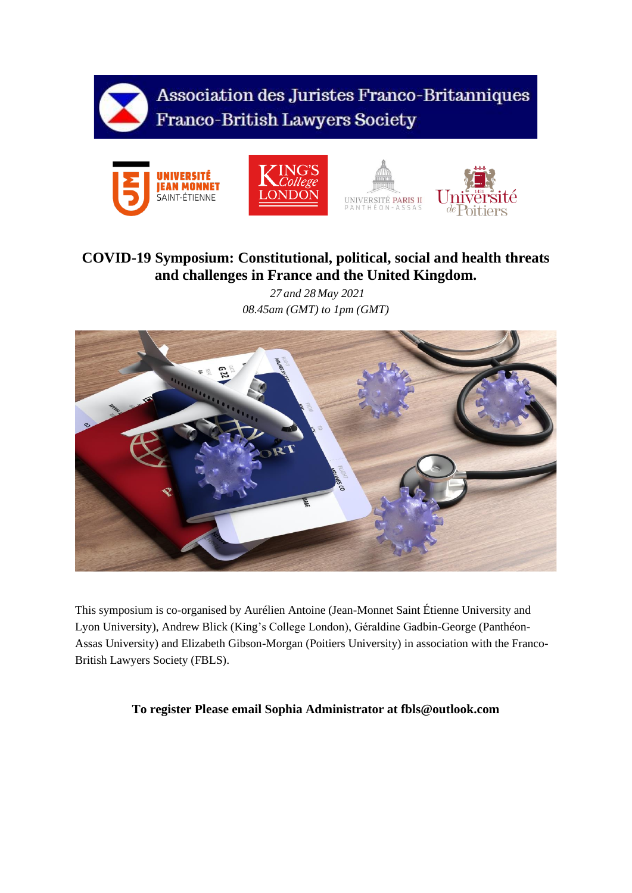

Association des Juristes Franco-Britanniques Franco-British Lawyers Society









## **COVID-19 Symposium: Constitutional, political, social and health threats and challenges in France and the United Kingdom.**

*27 and 28 May 2021 08.45am (GMT) to 1pm (GMT)*



This symposium is co-organised by Aurélien Antoine (Jean-Monnet Saint Étienne University and Lyon University), Andrew Blick (King's College London), Géraldine Gadbin-George (Panthéon-Assas University) and Elizabeth Gibson-Morgan (Poitiers University) in association with the Franco-British Lawyers Society (FBLS).

## **To register Please email Sophia Administrator at fbls@outlook.com**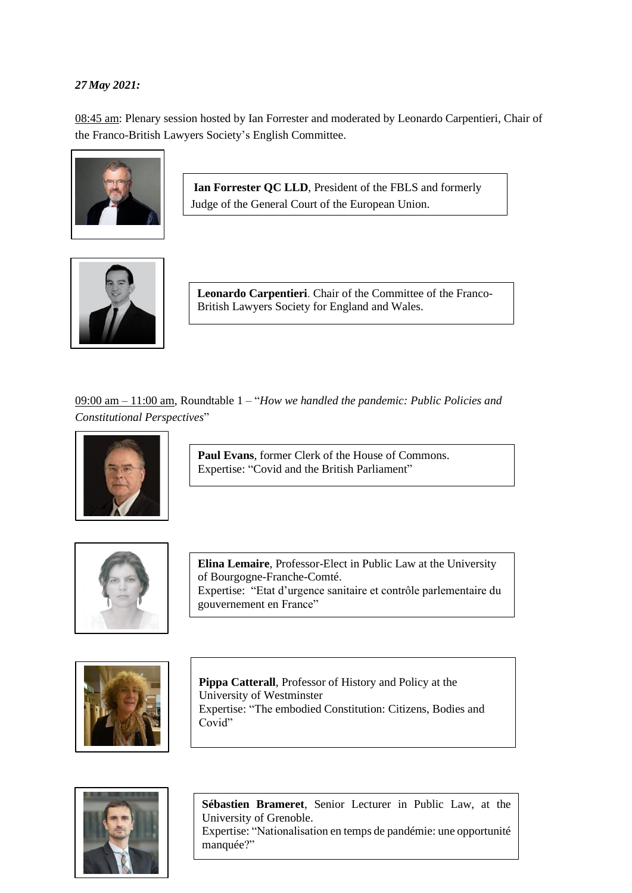## *27 May 2021:*

08:45 am: Plenary session hosted by Ian Forrester and moderated by Leonardo Carpentieri, Chair of the Franco-British Lawyers Society's English Committee.



**Ian Forrester QC LLD**, President of the FBLS and formerly Judge of the General Court of the European Union.



**Leonardo Carpentieri**. Chair of the Committee of the Franco-British Lawyers Society for England and Wales.

09:00 am – 11:00 am, Roundtable 1 – "*How we handled the pandemic: Public Policies and Constitutional Perspectives*"



**Paul Evans**, former Clerk of the House of Commons. Expertise: "Covid and the British Parliament"



**Elina Lemaire**, Professor-Elect in Public Law at the University of Bourgogne-Franche-Comté. Expertise: "Etat d'urgence sanitaire et contrôle parlementaire du gouvernement en France"



**Pippa Catterall**, Professor of History and Policy at the University of Westminster Expertise: "The embodied Constitution: Citizens, Bodies and Covid"



**Sébastien Brameret**, Senior Lecturer in Public Law, at the University of Grenoble. Expertise: "Nationalisation en temps de pandémie: une opportunité manquée?"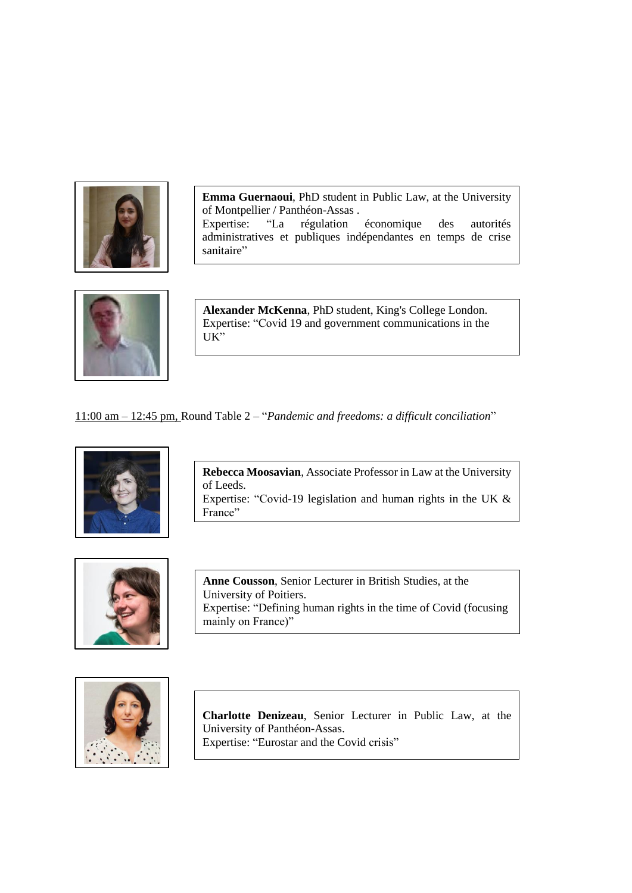

**Emma Guernaoui**, PhD student in Public Law, at the University of Montpellier / Panthéon-Assas . Expertise: "La régulation économique des autorités administratives et publiques indépendantes en temps de crise sanitaire"



**Alexander McKenna**, PhD student, King's College London. Expertise: "Covid 19 and government communications in the UK"

11:00 am – 12:45 pm, Round Table 2 – "*Pandemic and freedoms: a difficult conciliation*"



**Rebecca Moosavian**, Associate Professor in Law at the University of Leeds. Expertise: "Covid-19 legislation and human rights in the UK & France"



**Anne Cousson**, Senior Lecturer in British Studies, at the University of Poitiers. Expertise: "Defining human rights in the time of Covid (focusing mainly on France)"



**Charlotte Denizeau**, Senior Lecturer in Public Law, at the University of Panthéon-Assas. Expertise: "Eurostar and the Covid crisis"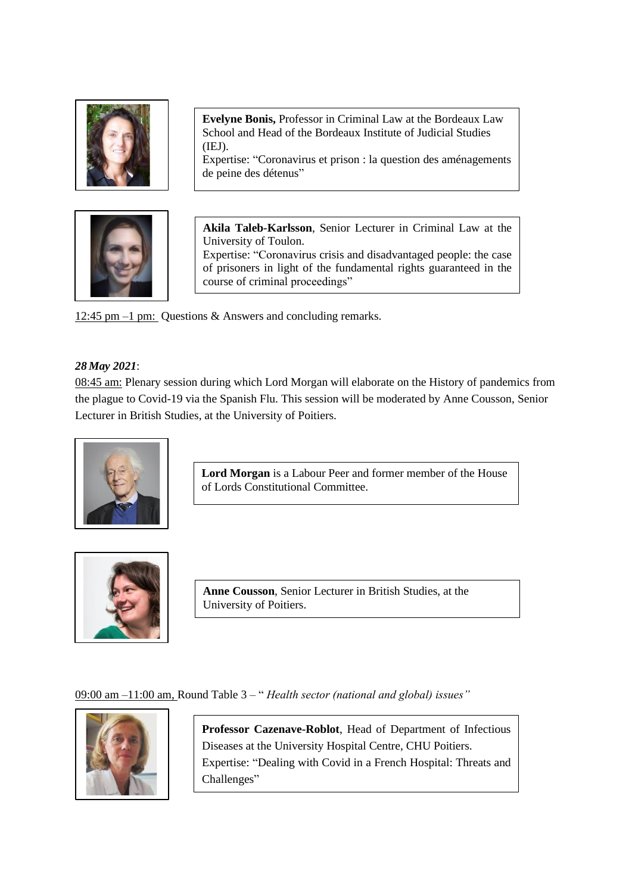

12:45 pm –1 pm: Questions & Answers and concluding remarks.

## *28 May 2021*:

08:45 am: Plenary session during which Lord Morgan will elaborate on the History of pandemics from the plague to Covid-19 via the Spanish Flu. This session will be moderated by Anne Cousson, Senior Lecturer in British Studies, at the University of Poitiers.



**Lord Morgan** is a Labour Peer and former member of the House of Lords Constitutional Committee.



**Anne Cousson**, Senior Lecturer in British Studies, at the University of Poitiers.

09:00 am –11:00 am, Round Table 3 – " *Health sector (national and global) issues"*



**Professor Cazenave-Roblot**, Head of Department of Infectious Diseases at the University Hospital Centre, CHU Poitiers. Expertise: "Dealing with Covid in a French Hospital: Threats and Challenges"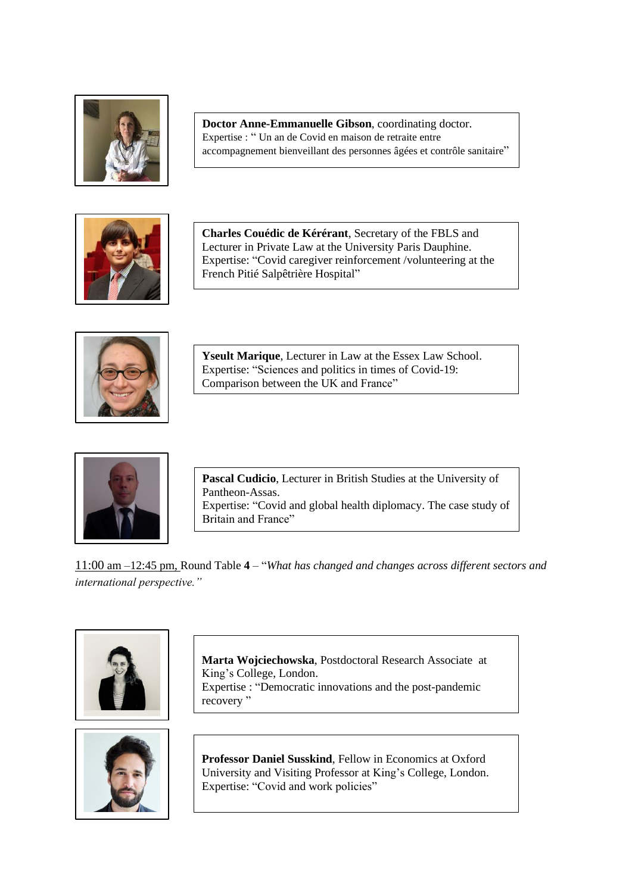

**Doctor Anne-Emmanuelle Gibson**, coordinating doctor. Expertise : " Un an de Covid en maison de retraite entre accompagnement bienveillant des personnes âgées et contrôle sanitaire"



Expertise: "Covid caregiver reinforcement /volunteering at the **Charles Couédic de Kérérant**, Secretary of the FBLS and Lecturer in Private Law at the University Paris Dauphine. French Pitié Salpêtrière Hospital"



**Yseult Marique**, Lecturer in Law at the Essex Law School. Expertise: "Sciences and politics in times of Covid-19: Comparison between the UK and France"



**Pascal Cudicio**, Lecturer in British Studies at the University of Pantheon-Assas. Expertise: "Covid and global health diplomacy. The case study of Britain and France"

11:00 am –12:45 pm, Round Table **4** – "*What has changed and changes across different sectors and international perspective."*





**Marta Wojciechowska**, Postdoctoral Research Associate at King's College, London. Expertise : "Democratic innovations and the post-pandemic recovery"

**Professor Daniel Susskind**, Fellow in Economics at Oxford University and Visiting Professor at King's College, London. Expertise: "Covid and work policies"